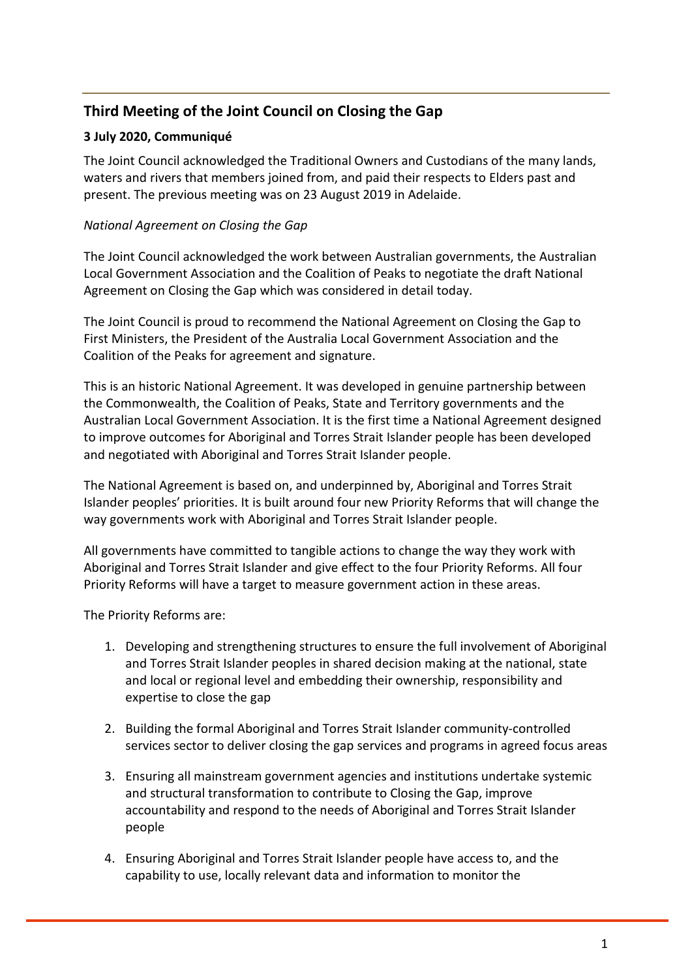# **Third Meeting of the Joint Council on Closing the Gap**

## **3 July 2020, Communiqué**

The Joint Council acknowledged the Traditional Owners and Custodians of the many lands, waters and rivers that members joined from, and paid their respects to Elders past and present. The previous meeting was on 23 August 2019 in Adelaide.

## *National Agreement on Closing the Gap*

The Joint Council acknowledged the work between Australian governments, the Australian Local Government Association and the Coalition of Peaks to negotiate the draft National Agreement on Closing the Gap which was considered in detail today.

The Joint Council is proud to recommend the National Agreement on Closing the Gap to First Ministers, the President of the Australia Local Government Association and the Coalition of the Peaks for agreement and signature.

This is an historic National Agreement. It was developed in genuine partnership between the Commonwealth, the Coalition of Peaks, State and Territory governments and the Australian Local Government Association. It is the first time a National Agreement designed to improve outcomes for Aboriginal and Torres Strait Islander people has been developed and negotiated with Aboriginal and Torres Strait Islander people.

The National Agreement is based on, and underpinned by, Aboriginal and Torres Strait Islander peoples' priorities. It is built around four new Priority Reforms that will change the way governments work with Aboriginal and Torres Strait Islander people.

All governments have committed to tangible actions to change the way they work with Aboriginal and Torres Strait Islander and give effect to the four Priority Reforms. All four Priority Reforms will have a target to measure government action in these areas.

The Priority Reforms are:

- 1. Developing and strengthening structures to ensure the full involvement of Aboriginal and Torres Strait Islander peoples in shared decision making at the national, state and local or regional level and embedding their ownership, responsibility and expertise to close the gap
- 2. Building the formal Aboriginal and Torres Strait Islander community-controlled services sector to deliver closing the gap services and programs in agreed focus areas
- 3. Ensuring all mainstream government agencies and institutions undertake systemic and structural transformation to contribute to Closing the Gap, improve accountability and respond to the needs of Aboriginal and Torres Strait Islander people
- 4. Ensuring Aboriginal and Torres Strait Islander people have access to, and the capability to use, locally relevant data and information to monitor the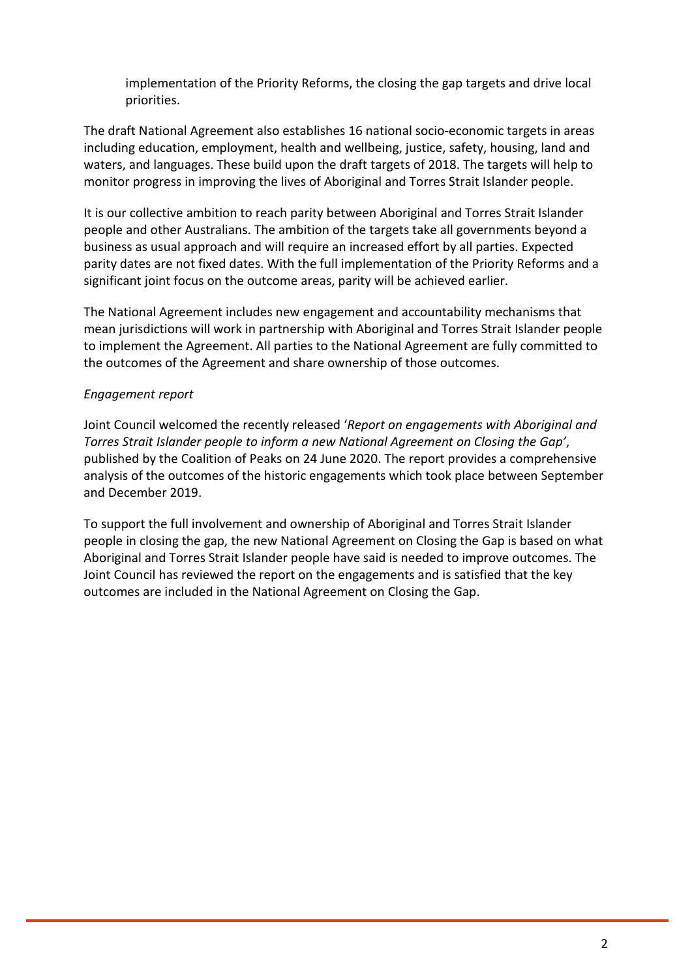implementation of the Priority Reforms, the closing the gap targets and drive local priorities.

The draft National Agreement also establishes 16 national socio-economic targets in areas including education, employment, health and wellbeing, justice, safety, housing, land and waters, and languages. These build upon the draft targets of 2018. The targets will help to monitor progress in improving the lives of Aboriginal and Torres Strait Islander people.

It is our collective ambition to reach parity between Aboriginal and Torres Strait Islander people and other Australians. The ambition of the targets take all governments beyond a business as usual approach and will require an increased effort by all parties. Expected parity dates are not fixed dates. With the full implementation of the Priority Reforms and a significant joint focus on the outcome areas, parity will be achieved earlier.

The National Agreement includes new engagement and accountability mechanisms that mean jurisdictions will work in partnership with Aboriginal and Torres Strait Islander people to implement the Agreement. All parties to the National Agreement are fully committed to the outcomes of the Agreement and share ownership of those outcomes.

#### *Engagement report*

Joint Council welcomed the recently released '*Report on engagements with Aboriginal and Torres Strait Islander people to inform a new National Agreement on Closing the Gap'*, published by the Coalition of Peaks on 24 June 2020. The report provides a comprehensive analysis of the outcomes of the historic engagements which took place between September and December 2019.

To support the full involvement and ownership of Aboriginal and Torres Strait Islander people in closing the gap, the new National Agreement on Closing the Gap is based on what Aboriginal and Torres Strait Islander people have said is needed to improve outcomes. The Joint Council has reviewed the report on the engagements and is satisfied that the key outcomes are included in the National Agreement on Closing the Gap.